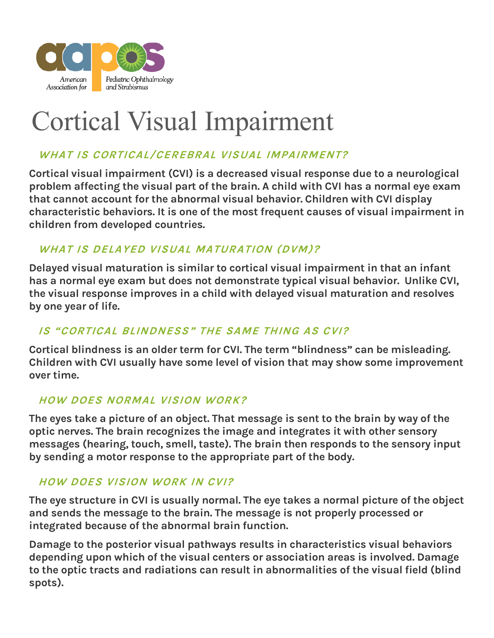

# Cortical Visual Impairment

# **WHAT IS CORTICAL/CEREBRAL VISUAL IMPAIRMENT?**

Cortical visual impairment (CVI) is a decreased visual response due to a neurological problem affecting the visual part of the brain. A child with CVI has a normal eye exam that cannot account for the abnormal visual behavior. Children with CVI display characteristic behaviors. It is one of the most frequent causes of visual impairment in children from developed countries.

## **WHAT IS DELAYED VISUAL MATURATION (DVM)?**

Delayed visual maturation is similar to cortical visual impairment in that an infant has a normal eye exam but does not demonstrate typical visual behavior. Unlike CVI, the visual response improves in a child with delayed visual maturation and resolves by one year of life.

## **IS "CORTICAL BLINDNESS" THE SAME THING AS CVI?**

Cortical blindness is an older term for CVI. The term "blindness" can be misleading. Children with CVI usually have some level of vision that may show some improvement over time.

#### **HOW DOES NORMAL VISION WORK?**

The eyes take a picture of an object. That message is sent to the brain by way of the optic nerves. The brain recognizes the image and integrates it with other sensory messages (hearing, touch, smell, taste). The brain then responds to the sensory input by sending a motor response to the appropriate part of the body.

#### **HOW DOES VISION WORK IN CVI?**

The eye structure in CVI is usually normal. The eye takes a normal picture of the object and sends the message to the brain. The message is not properly processed or integrated because of the abnormal brain function.

Damage to the posterior visual pathways results in characteristics visual behaviors depending upon which of the visual centers or association areas is involved. Damage to the optic tracts and radiations can result in abnormalities of the visual field (blind spots).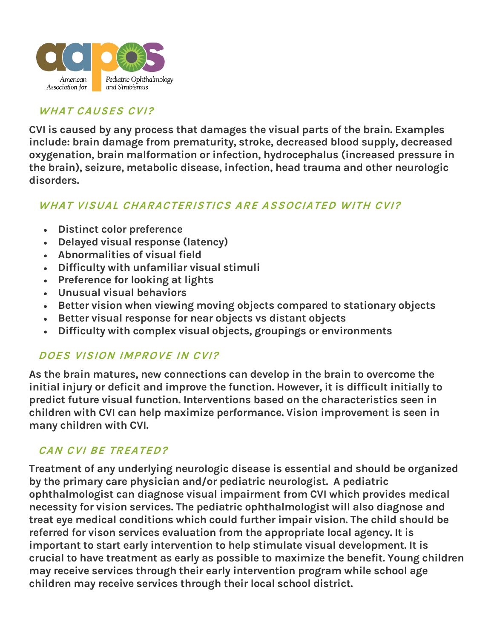

#### **WHAT CAUSES CVI?**

CVI is caused by any process that damages the visual parts of the brain. Examples include: brain damage from prematurity, stroke, decreased blood supply, decreased oxygenation, brain malformation or infection, hydrocephalus (increased pressure in the brain), seizure, metabolic disease, infection, head trauma and other neurologic disorders.

#### **WHAT VISUAL CHARACTERISTICS ARE ASSOCIATED WITH CVI?**

- Distinct color preference
- Delayed visual response (latency)
- Abnormalities of visual field
- Difficulty with unfamiliar visual stimuli
- Preference for looking at lights
- Unusual visual behaviors
- Better vision when viewing moving objects compared to stationary objects
- Better visual response for near objects vs distant objects
- Difficulty with complex visual objects, groupings or environments

#### **DOES VISION IMPROVE IN CVI?**

As the brain matures, new connections can develop in the brain to overcome the initial injury or deficit and improve the function. However, it is difficult initially to predict future visual function. Interventions based on the characteristics seen in children with CVI can help maximize performance. Vision improvement is seen in many children with CVI.

#### **CAN CVI BE TREATED?**

Treatment of any underlying neurologic disease is essential and should be organized by the primary care physician and/or pediatric neurologist. A pediatric ophthalmologist can diagnose visual impairment from CVI which provides medical necessity for vision services. The pediatric ophthalmologist will also diagnose and treat eye medical conditions which could further impair vision. The child should be referred for vison services evaluation from the appropriate local agency. It is important to start early intervention to help stimulate visual development. It is crucial to have treatment as early as possible to maximize the benefit. Young children may receive services through their early intervention program while school age children may receive services through their local school district.